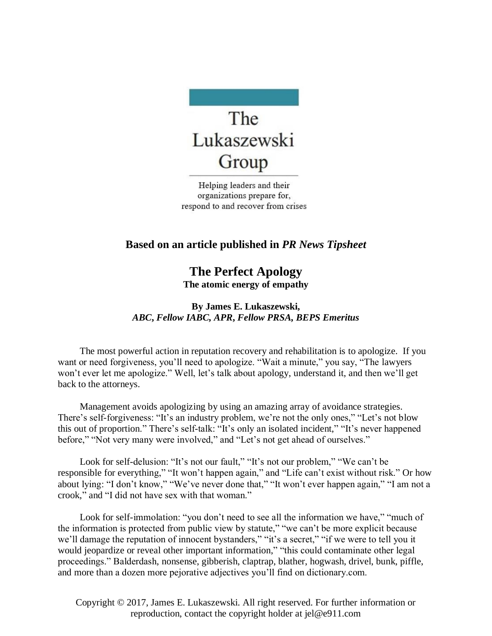

Helping leaders and their organizations prepare for, respond to and recover from crises

## **Based on an article published in** *PR News Tipsheet*

**The Perfect Apology The atomic energy of empathy**

## **By James E. Lukaszewski,**  *ABC***,** *Fellow IABC, APR***,** *Fellow PRSA, BEPS Emeritus*

The most powerful action in reputation recovery and rehabilitation is to apologize. If you want or need forgiveness, you'll need to apologize. "Wait a minute," you say, "The lawyers won't ever let me apologize." Well, let's talk about apology, understand it, and then we'll get back to the attorneys.

Management avoids apologizing by using an amazing array of avoidance strategies. There's self-forgiveness: "It's an industry problem, we're not the only ones," "Let's not blow this out of proportion." There's self-talk: "It's only an isolated incident," "It's never happened before," "Not very many were involved," and "Let's not get ahead of ourselves."

Look for self-delusion: "It's not our fault," "It's not our problem," "We can't be responsible for everything," "It won't happen again," and "Life can't exist without risk." Or how about lying: "I don't know," "We've never done that," "It won't ever happen again," "I am not a crook," and "I did not have sex with that woman."

Look for self-immolation: "you don't need to see all the information we have," "much of the information is protected from public view by statute," "we can't be more explicit because we'll damage the reputation of innocent bystanders," "it's a secret," "if we were to tell you it would jeopardize or reveal other important information," "this could contaminate other legal proceedings." Balderdash, nonsense, gibberish, claptrap, blather, hogwash, drivel, bunk, piffle, and more than a dozen more pejorative adjectives you'll find on dictionary.com.

Copyright © 2017, James E. Lukaszewski. All right reserved. For further information or reproduction, contact the copyright holder at jel@e911.com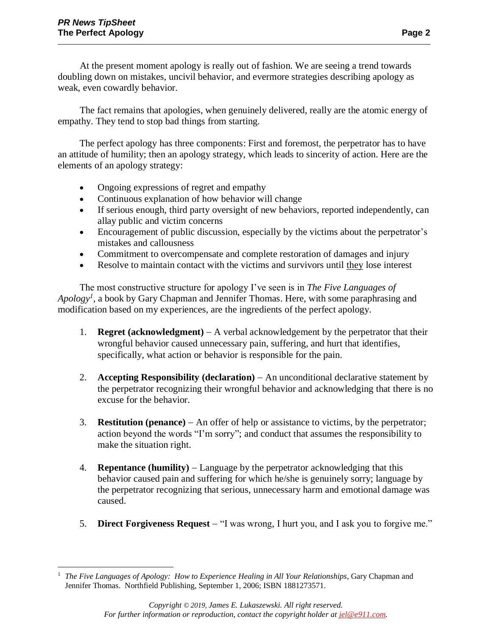At the present moment apology is really out of fashion. We are seeing a trend towards doubling down on mistakes, uncivil behavior, and evermore strategies describing apology as weak, even cowardly behavior.

The fact remains that apologies, when genuinely delivered, really are the atomic energy of empathy. They tend to stop bad things from starting.

The perfect apology has three components: First and foremost, the perpetrator has to have an attitude of humility; then an apology strategy, which leads to sincerity of action. Here are the elements of an apology strategy:

- Ongoing expressions of regret and empathy
- Continuous explanation of how behavior will change
- If serious enough, third party oversight of new behaviors, reported independently, can allay public and victim concerns
- Encouragement of public discussion, especially by the victims about the perpetrator's mistakes and callousness
- Commitment to overcompensate and complete restoration of damages and injury
- Resolve to maintain contact with the victims and survivors until they lose interest

The most constructive structure for apology I've seen is in *The Five Languages of*  Apology<sup>*1*</sup>, a book by Gary Chapman and Jennifer Thomas. Here, with some paraphrasing and modification based on my experiences, are the ingredients of the perfect apology.

- 1. **Regret (acknowledgment)** − A verbal acknowledgement by the perpetrator that their wrongful behavior caused unnecessary pain, suffering, and hurt that identifies, specifically, what action or behavior is responsible for the pain.
- 2. **Accepting Responsibility (declaration)** − An unconditional declarative statement by the perpetrator recognizing their wrongful behavior and acknowledging that there is no excuse for the behavior.
- 3. **Restitution (penance)** − An offer of help or assistance to victims, by the perpetrator; action beyond the words "I'm sorry"; and conduct that assumes the responsibility to make the situation right.
- 4. **Repentance (humility)** − Language by the perpetrator acknowledging that this behavior caused pain and suffering for which he/she is genuinely sorry; language by the perpetrator recognizing that serious, unnecessary harm and emotional damage was caused.
- 5. **Direct Forgiveness Request** − "I was wrong, I hurt you, and I ask you to forgive me."

 $\overline{a}$ <sup>1</sup> *The Five Languages of Apology: How to Experience Healing in All Your Relationships*, Gary Chapman and Jennifer Thomas. Northfield Publishing, September 1, 2006; ISBN 1881273571.